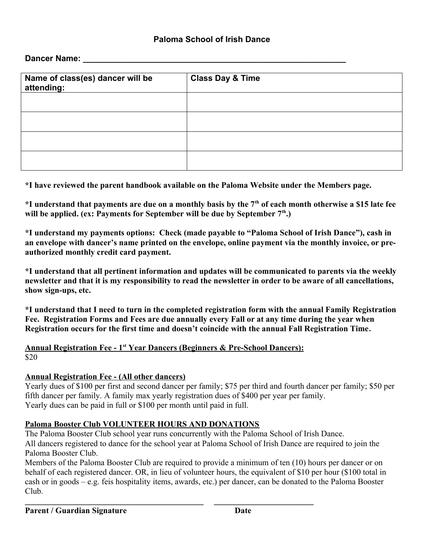## **Paloma School of Irish Dance**

**Dancer Name:** 

| Name of class(es) dancer will be<br>attending: | <b>Class Day &amp; Time</b> |  |  |
|------------------------------------------------|-----------------------------|--|--|
|                                                |                             |  |  |
|                                                |                             |  |  |
|                                                |                             |  |  |
|                                                |                             |  |  |

**\*I have reviewed the parent handbook available on the Paloma Website under the Members page.**

**\*I understand that payments are due on a monthly basis by the 7th of each month otherwise a \$15 late fee will be applied. (ex: Payments for September will be due by September 7th.)**

**\*I understand my payments options: Check (made payable to "Paloma School of Irish Dance"), cash in an envelope with dancer's name printed on the envelope, online payment via the monthly invoice, or preauthorized monthly credit card payment.**

**\*I understand that all pertinent information and updates will be communicated to parents via the weekly newsletter and that it is my responsibility to read the newsletter in order to be aware of all cancellations, show sign-ups, etc.**

**\*I understand that I need to turn in the completed registration form with the annual Family Registration Fee. Registration Forms and Fees are due annually every Fall or at any time during the year when Registration occurs for the first time and doesn't coincide with the annual Fall Registration Time.**

 **Annual Registration Fee - 1st Year Dancers (Beginners & Pre-School Dancers):** \$20

**\_\_\_\_\_\_\_\_\_\_\_\_\_\_\_\_\_\_\_\_\_\_\_\_\_\_\_\_\_\_\_\_\_\_\_\_\_\_\_\_\_\_\_ \_\_\_\_\_\_\_\_\_\_\_\_\_\_\_\_\_\_\_\_\_\_\_\_**

## **Annual Registration Fee - (All other dancers)**

Yearly dues of \$100 per first and second dancer per family; \$75 per third and fourth dancer per family; \$50 per fifth dancer per family. A family max yearly registration dues of \$400 per year per family. Yearly dues can be paid in full or \$100 per month until paid in full.

## **Paloma Booster Club VOLUNTEER HOURS AND DONATIONS**

The Paloma Booster Club school year runs concurrently with the Paloma School of Irish Dance. All dancers registered to dance for the school year at Paloma School of Irish Dance are required to join the Paloma Booster Club.

Members of the Paloma Booster Club are required to provide a minimum of ten (10) hours per dancer or on behalf of each registered dancer. OR, in lieu of volunteer hours, the equivalent of \$10 per hour (\$100 total in cash or in goods – e.g. feis hospitality items, awards, etc.) per dancer, can be donated to the Paloma Booster Club.